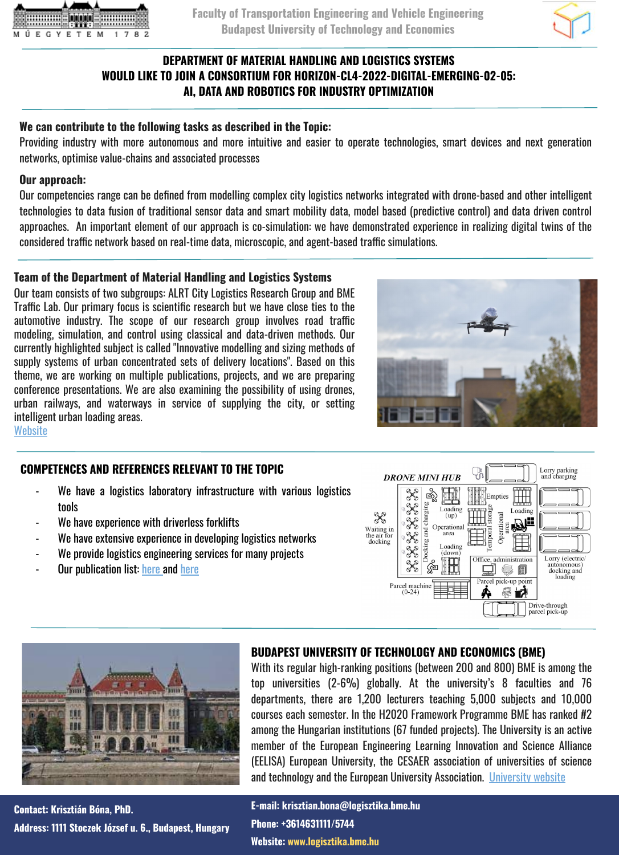



## **DEPARTMENT OF MATERIAL HANDLING AND LOGISTICS SYSTEMS WOULD LIKE TO JOIN A CONSORTIUM FOR HORIZON-CL4-2022-DIGITAL-EMERGING-02-05: AI, DATA AND ROBOTICS FOR INDUSTRY OPTIMIZATION**

## **We can contribute to the following tasks as described in the Topic:**

Providing industry with more autonomous and more intuitive and easier to operate technologies, smart devices and next generation networks, optimise value-chains and associated processes

#### **Our approach:**

Our competencies range can be defined from modelling complex city logistics networks integrated with drone-based and other intelligent technologies to data fusion of traditional sensor data and smart mobility data, model based (predictive control) and data driven control approaches. An important element of our approach is co-simulation: we have demonstrated experience in realizing digital twins of the considered traffic network based on real-time data, microscopic, and agent-based traffic simulations.

## **Team of the Department of Material Handling and Logistics Systems**

Our team consists of two subgroups: ALRT City Logistics Research Group and BME Traffic Lab. Our primary focus is scientific research but we have close ties to the automotive industry. The scope of our research group involves road traffic modeling, simulation, and control using classical and data-driven methods. Our currently highlighted subject is called "Innovative modelling and sizing methods of supply systems of urban concentrated sets of delivery locations". Based on this theme, we are working on multiple publications, projects, and we are preparing conference presentations. We are also examining the possibility of using drones, urban railways, and waterways in service of supplying the city, or setting intelligent urban loading areas.



**[Website](http://www.logisztika.bme.hu)** 

## **COMPETENCES AND REFERENCES RELEVANT TO THE TOPIC**

- We have a logistics laboratory infrastructure with various logistics tools
- We have experience with driverless forklifts
- We have extensive experience in developing logistics networks
- We provide logistics engineering services for many projects
- Our publication list: [here a](https://m2.mtmt.hu/gui2/?type=authors&mode=browse&sel=authors10034508)nd [here](https://m2.mtmt.hu/gui2/?type=authors&mode=browse&sel=10034325)





**Contact: Krisztián Bóna, PhD. Address: 1111 Stoczek József u. 6., Budapest, Hungary**

### **BUDAPEST UNIVERSITY OF TECHNOLOGY AND ECONOMICS (BME)**

With its regular high-ranking positions (between 200 and 800) BME is among the top universities (2-6%) globally. At the university's 8 faculties and 76 departments, there are 1,200 lecturers teaching 5,000 subjects and 10,000 courses each semester. In the H2020 Framework Programme BME has ranked #2 among the Hungarian institutions (67 funded projects). The University is an active member of the European Engineering Learning Innovation and Science Alliance (EELISA) European University, the CESAER association of universities of science and technology and the European University Association. [University website](http://www.bme.hu/?language=en)

**E-mail: krisztian.bona@logisztika.bme.hu Phone: +3614631111/5744 Website: www.logisztika.bme.hu**